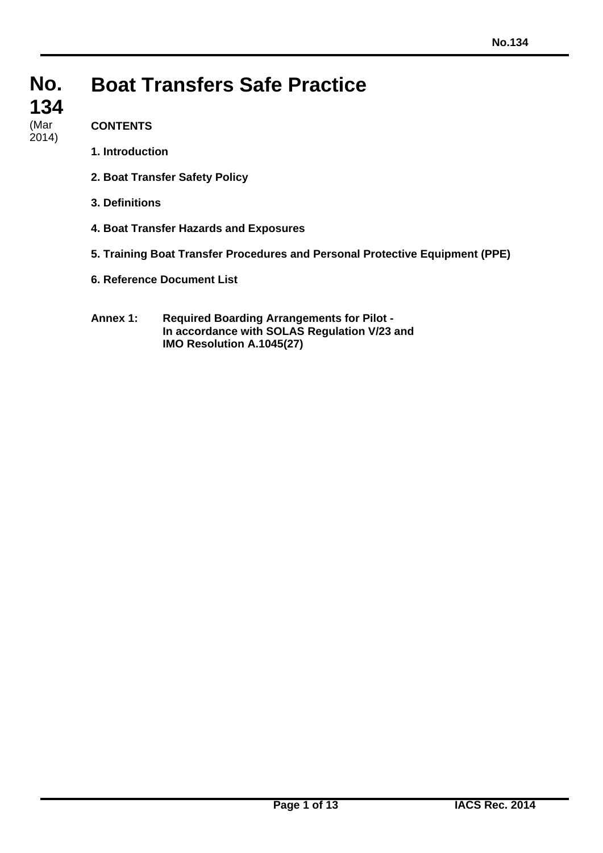# **Boat Transfers Safe Practice**

# **CONTENTS**

- **1. Introduction**
- **2. Boat Transfer Safety Policy**
- **3. Definitions**
- **4. Boat Transfer Hazards and Exposures**
- **5. Training Boat Transfer Procedures and Personal Protective Equipment (PPE)**
- **6. Reference Document List**
- **Annex 1: Required Boarding Arrangements for Pilot - In accordance with SOLAS Regulation V/23 and IMO Resolution A.1045(27)**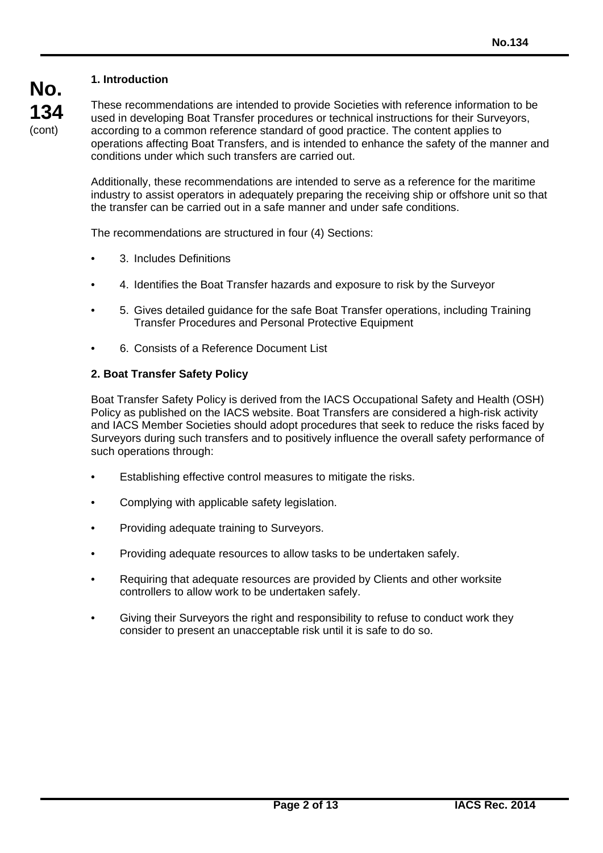## **1. Introduction**

**No. 134** (cont)

These recommendations are intended to provide Societies with reference information to be used in developing Boat Transfer procedures or technical instructions for their Surveyors, according to a common reference standard of good practice. The content applies to operations affecting Boat Transfers, and is intended to enhance the safety of the manner and conditions under which such transfers are carried out.

Additionally, these recommendations are intended to serve as a reference for the maritime industry to assist operators in adequately preparing the receiving ship or offshore unit so that the transfer can be carried out in a safe manner and under safe conditions.

The recommendations are structured in four (4) Sections:

- 3. Includes Definitions
- 4. Identifies the Boat Transfer hazards and exposure to risk by the Surveyor
- 5. Gives detailed guidance for the safe Boat Transfer operations, including Training Transfer Procedures and Personal Protective Equipment
- 6. Consists of a Reference Document List

## **2. Boat Transfer Safety Policy**

Boat Transfer Safety Policy is derived from the IACS Occupational Safety and Health (OSH) Policy as published on the IACS website. Boat Transfers are considered a high-risk activity and IACS Member Societies should adopt procedures that seek to reduce the risks faced by Surveyors during such transfers and to positively influence the overall safety performance of such operations through:

- Establishing effective control measures to mitigate the risks.
- Complying with applicable safety legislation.
- Providing adequate training to Surveyors.
- Providing adequate resources to allow tasks to be undertaken safely.
- Requiring that adequate resources are provided by Clients and other worksite controllers to allow work to be undertaken safely.
- Giving their Surveyors the right and responsibility to refuse to conduct work they consider to present an unacceptable risk until it is safe to do so.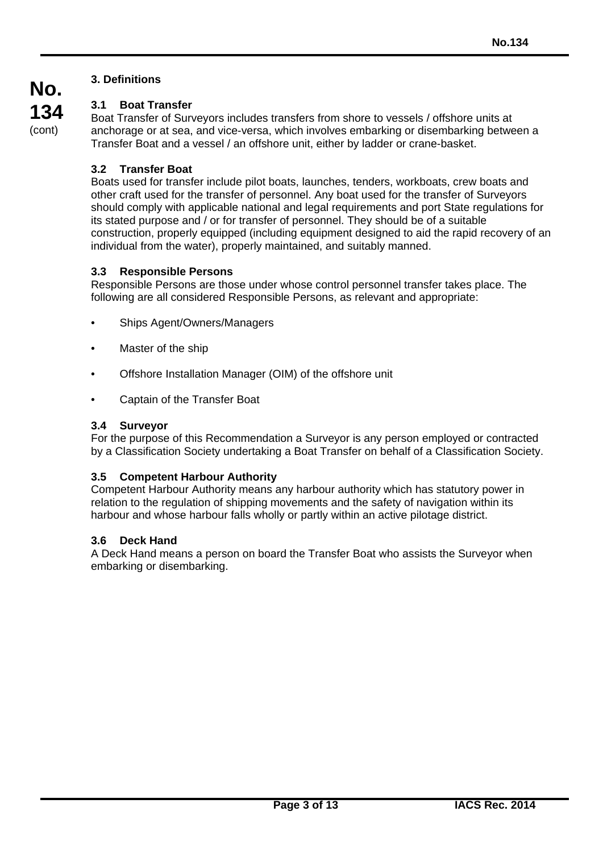## **3. Definitions**

## **3.1 Boat Transfer**

Boat Transfer of Surveyors includes transfers from shore to vessels / offshore units at anchorage or at sea, and vice-versa, which involves embarking or disembarking between a Transfer Boat and a vessel / an offshore unit, either by ladder or crane-basket.

### **3.2 Transfer Boat**

Boats used for transfer include pilot boats, launches, tenders, workboats, crew boats and other craft used for the transfer of personnel. Any boat used for the transfer of Surveyors should comply with applicable national and legal requirements and port State regulations for its stated purpose and / or for transfer of personnel. They should be of a suitable construction, properly equipped (including equipment designed to aid the rapid recovery of an individual from the water), properly maintained, and suitably manned.

#### **3.3 Responsible Persons**

Responsible Persons are those under whose control personnel transfer takes place. The following are all considered Responsible Persons, as relevant and appropriate:

- Ships Agent/Owners/Managers
- Master of the ship
- Offshore Installation Manager (OIM) of the offshore unit
- Captain of the Transfer Boat

#### **3.4 Surveyor**

For the purpose of this Recommendation a Surveyor is any person employed or contracted by a Classification Society undertaking a Boat Transfer on behalf of a Classification Society.

#### **3.5 Competent Harbour Authority**

Competent Harbour Authority means any harbour authority which has statutory power in relation to the regulation of shipping movements and the safety of navigation within its harbour and whose harbour falls wholly or partly within an active pilotage district.

#### **3.6 Deck Hand**

A Deck Hand means a person on board the Transfer Boat who assists the Surveyor when embarking or disembarking.

**No. 134** (cont)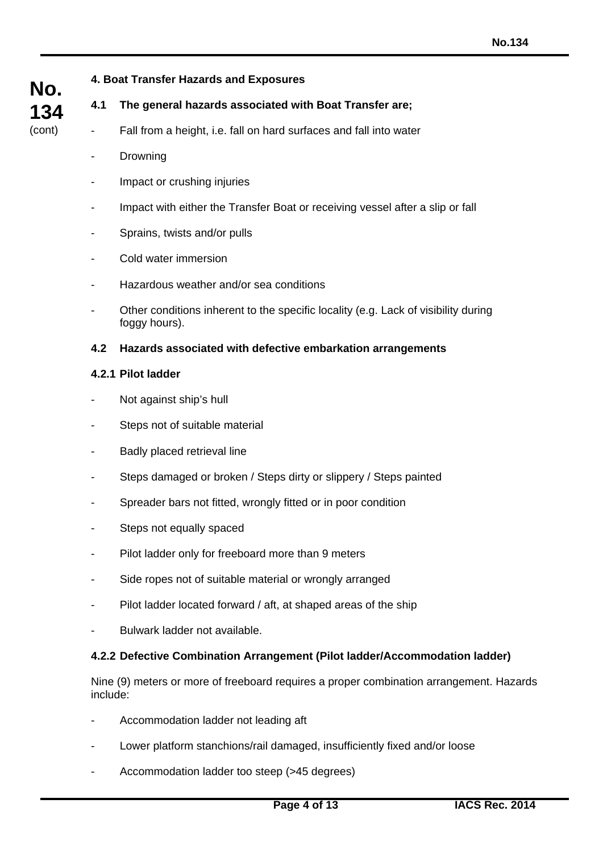# **4. Boat Transfer Hazards and Exposures**

# **4.1 The general hazards associated with Boat Transfer are;**

- Fall from a height, i.e. fall on hard surfaces and fall into water

- **Drowning**
- Impact or crushing injuries
- Impact with either the Transfer Boat or receiving vessel after a slip or fall
- Sprains, twists and/or pulls
- Cold water immersion
- Hazardous weather and/or sea conditions
- Other conditions inherent to the specific locality (e.g. Lack of visibility during foggy hours).

#### **4.2 Hazards associated with defective embarkation arrangements**

### **4.2.1 Pilot ladder**

- Not against ship's hull
- Steps not of suitable material
- Badly placed retrieval line
- Steps damaged or broken / Steps dirty or slippery / Steps painted
- Spreader bars not fitted, wrongly fitted or in poor condition
- Steps not equally spaced
- Pilot ladder only for freeboard more than 9 meters
- Side ropes not of suitable material or wrongly arranged
- Pilot ladder located forward / aft, at shaped areas of the ship
- Bulwark ladder not available.

#### **4.2.2 Defective Combination Arrangement (Pilot ladder/Accommodation ladder)**

Nine (9) meters or more of freeboard requires a proper combination arrangement. Hazards include:

- Accommodation ladder not leading aft
- Lower platform stanchions/rail damaged, insufficiently fixed and/or loose
- Accommodation ladder too steep (>45 degrees)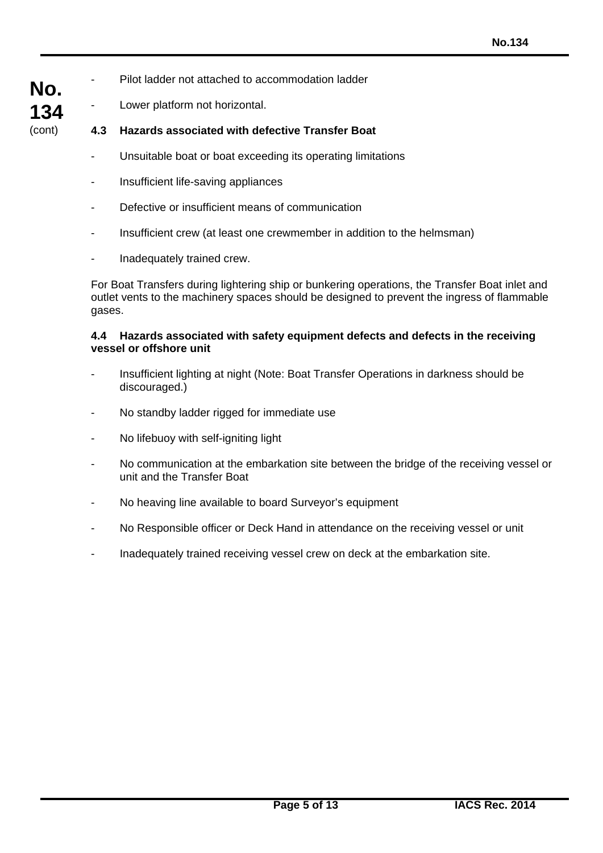- Pilot ladder not attached to accommodation ladder
- **134** Lower platform not horizontal.

**No.**

(cont)

## **4.3 Hazards associated with defective Transfer Boat**

- Unsuitable boat or boat exceeding its operating limitations
- Insufficient life-saving appliances
- Defective or insufficient means of communication
- Insufficient crew (at least one crewmember in addition to the helmsman)
- Inadequately trained crew.

For Boat Transfers during lightering ship or bunkering operations, the Transfer Boat inlet and outlet vents to the machinery spaces should be designed to prevent the ingress of flammable gases.

#### **4.4 Hazards associated with safety equipment defects and defects in the receiving vessel or offshore unit**

- Insufficient lighting at night (Note: Boat Transfer Operations in darkness should be discouraged.)
- No standby ladder rigged for immediate use
- No lifebuoy with self-igniting light
- No communication at the embarkation site between the bridge of the receiving vessel or unit and the Transfer Boat
- No heaving line available to board Surveyor's equipment
- No Responsible officer or Deck Hand in attendance on the receiving vessel or unit
- Inadequately trained receiving vessel crew on deck at the embarkation site.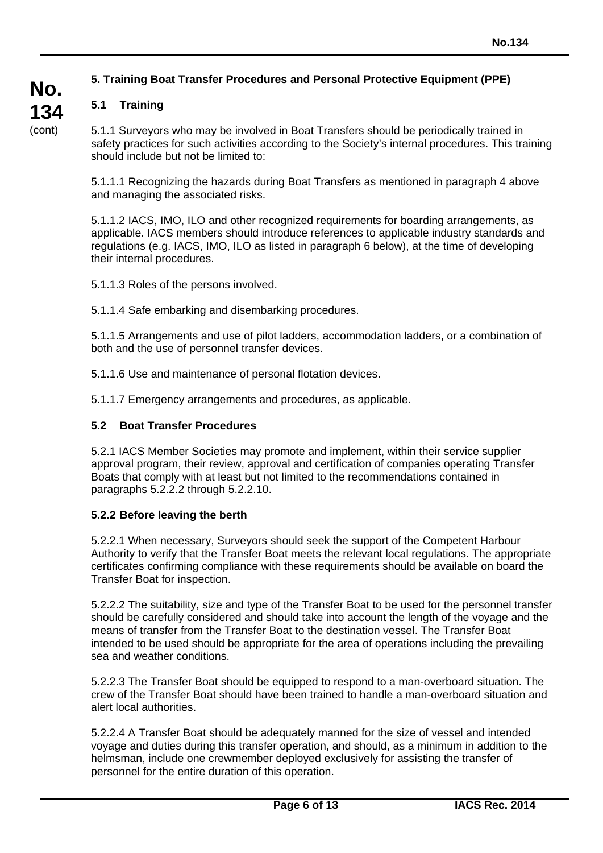## **5. Training Boat Transfer Procedures and Personal Protective Equipment (PPE)**

# **5.1 Training**

5.1.1 Surveyors who may be involved in Boat Transfers should be periodically trained in safety practices for such activities according to the Society's internal procedures. This training should include but not be limited to:

5.1.1.1 Recognizing the hazards during Boat Transfers as mentioned in paragraph 4 above and managing the associated risks.

5.1.1.2 IACS, IMO, ILO and other recognized requirements for boarding arrangements, as applicable. IACS members should introduce references to applicable industry standards and regulations (e.g. IACS, IMO, ILO as listed in paragraph 6 below), at the time of developing their internal procedures.

5.1.1.3 Roles of the persons involved.

5.1.1.4 Safe embarking and disembarking procedures.

5.1.1.5 Arrangements and use of pilot ladders, accommodation ladders, or a combination of both and the use of personnel transfer devices.

5.1.1.6 Use and maintenance of personal flotation devices.

5.1.1.7 Emergency arrangements and procedures, as applicable.

#### **5.2 Boat Transfer Procedures**

5.2.1 IACS Member Societies may promote and implement, within their service supplier approval program, their review, approval and certification of companies operating Transfer Boats that comply with at least but not limited to the recommendations contained in paragraphs 5.2.2.2 through 5.2.2.10.

#### **5.2.2 Before leaving the berth**

5.2.2.1 When necessary, Surveyors should seek the support of the Competent Harbour Authority to verify that the Transfer Boat meets the relevant local regulations. The appropriate certificates confirming compliance with these requirements should be available on board the Transfer Boat for inspection.

5.2.2.2 The suitability, size and type of the Transfer Boat to be used for the personnel transfer should be carefully considered and should take into account the length of the voyage and the means of transfer from the Transfer Boat to the destination vessel. The Transfer Boat intended to be used should be appropriate for the area of operations including the prevailing sea and weather conditions.

5.2.2.3 The Transfer Boat should be equipped to respond to a man-overboard situation. The crew of the Transfer Boat should have been trained to handle a man-overboard situation and alert local authorities.

5.2.2.4 A Transfer Boat should be adequately manned for the size of vessel and intended voyage and duties during this transfer operation, and should, as a minimum in addition to the helmsman, include one crewmember deployed exclusively for assisting the transfer of personnel for the entire duration of this operation.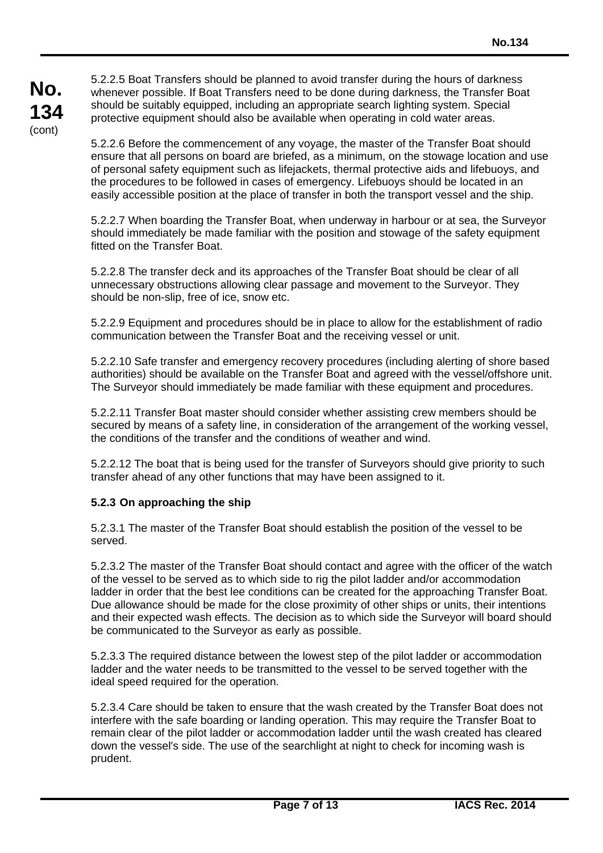5.2.2.5 Boat Transfers should be planned to avoid transfer during the hours of darkness whenever possible. If Boat Transfers need to be done during darkness, the Transfer Boat should be suitably equipped, including an appropriate search lighting system. Special protective equipment should also be available when operating in cold water areas.

5.2.2.6 Before the commencement of any voyage, the master of the Transfer Boat should ensure that all persons on board are briefed, as a minimum, on the stowage location and use of personal safety equipment such as lifejackets, thermal protective aids and lifebuoys, and the procedures to be followed in cases of emergency. Lifebuoys should be located in an easily accessible position at the place of transfer in both the transport vessel and the ship.

5.2.2.7 When boarding the Transfer Boat, when underway in harbour or at sea, the Surveyor should immediately be made familiar with the position and stowage of the safety equipment fitted on the Transfer Boat.

5.2.2.8 The transfer deck and its approaches of the Transfer Boat should be clear of all unnecessary obstructions allowing clear passage and movement to the Surveyor. They should be non-slip, free of ice, snow etc.

5.2.2.9 Equipment and procedures should be in place to allow for the establishment of radio communication between the Transfer Boat and the receiving vessel or unit.

5.2.2.10 Safe transfer and emergency recovery procedures (including alerting of shore based authorities) should be available on the Transfer Boat and agreed with the vessel/offshore unit. The Surveyor should immediately be made familiar with these equipment and procedures.

5.2.2.11 Transfer Boat master should consider whether assisting crew members should be secured by means of a safety line, in consideration of the arrangement of the working vessel, the conditions of the transfer and the conditions of weather and wind.

5.2.2.12 The boat that is being used for the transfer of Surveyors should give priority to such transfer ahead of any other functions that may have been assigned to it.

## **5.2.3 On approaching the ship**

5.2.3.1 The master of the Transfer Boat should establish the position of the vessel to be served.

5.2.3.2 The master of the Transfer Boat should contact and agree with the officer of the watch of the vessel to be served as to which side to rig the pilot ladder and/or accommodation ladder in order that the best lee conditions can be created for the approaching Transfer Boat. Due allowance should be made for the close proximity of other ships or units, their intentions and their expected wash effects. The decision as to which side the Surveyor will board should be communicated to the Surveyor as early as possible.

5.2.3.3 The required distance between the lowest step of the pilot ladder or accommodation ladder and the water needs to be transmitted to the vessel to be served together with the ideal speed required for the operation.

5.2.3.4 Care should be taken to ensure that the wash created by the Transfer Boat does not interfere with the safe boarding or landing operation. This may require the Transfer Boat to remain clear of the pilot ladder or accommodation ladder until the wash created has cleared down the vessel's side. The use of the searchlight at night to check for incoming wash is prudent.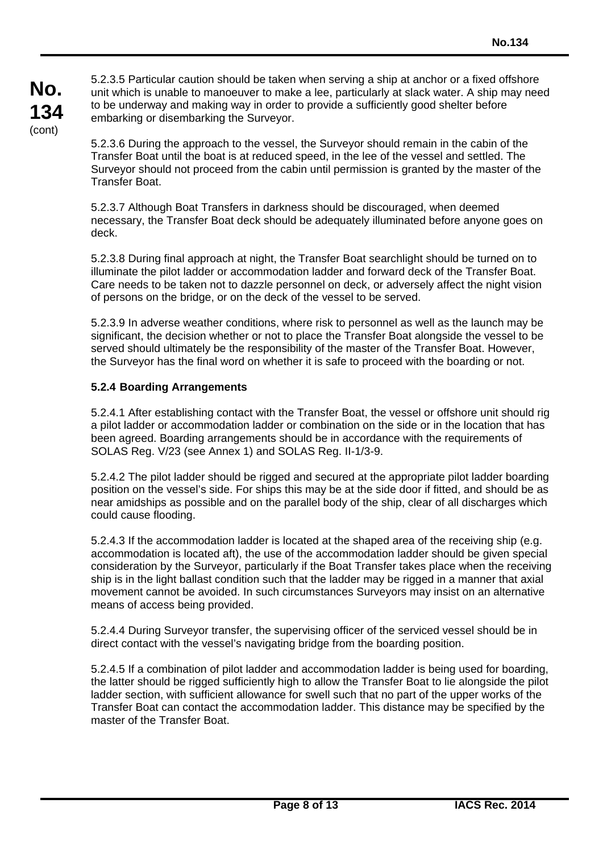5.2.3.5 Particular caution should be taken when serving a ship at anchor or a fixed offshore unit which is unable to manoeuver to make a lee, particularly at slack water. A ship may need to be underway and making way in order to provide a sufficiently good shelter before embarking or disembarking the Surveyor.

5.2.3.6 During the approach to the vessel, the Surveyor should remain in the cabin of the Transfer Boat until the boat is at reduced speed, in the lee of the vessel and settled. The Surveyor should not proceed from the cabin until permission is granted by the master of the Transfer Boat.

5.2.3.7 Although Boat Transfers in darkness should be discouraged, when deemed necessary, the Transfer Boat deck should be adequately illuminated before anyone goes on deck.

5.2.3.8 During final approach at night, the Transfer Boat searchlight should be turned on to illuminate the pilot ladder or accommodation ladder and forward deck of the Transfer Boat. Care needs to be taken not to dazzle personnel on deck, or adversely affect the night vision of persons on the bridge, or on the deck of the vessel to be served.

5.2.3.9 In adverse weather conditions, where risk to personnel as well as the launch may be significant, the decision whether or not to place the Transfer Boat alongside the vessel to be served should ultimately be the responsibility of the master of the Transfer Boat. However, the Surveyor has the final word on whether it is safe to proceed with the boarding or not.

## **5.2.4 Boarding Arrangements**

5.2.4.1 After establishing contact with the Transfer Boat, the vessel or offshore unit should rig a pilot ladder or accommodation ladder or combination on the side or in the location that has been agreed. Boarding arrangements should be in accordance with the requirements of SOLAS Reg. V/23 (see Annex 1) and SOLAS Reg. II-1/3-9.

5.2.4.2 The pilot ladder should be rigged and secured at the appropriate pilot ladder boarding position on the vessel's side. For ships this may be at the side door if fitted, and should be as near amidships as possible and on the parallel body of the ship, clear of all discharges which could cause flooding.

5.2.4.3 If the accommodation ladder is located at the shaped area of the receiving ship (e.g. accommodation is located aft), the use of the accommodation ladder should be given special consideration by the Surveyor, particularly if the Boat Transfer takes place when the receiving ship is in the light ballast condition such that the ladder may be rigged in a manner that axial movement cannot be avoided. In such circumstances Surveyors may insist on an alternative means of access being provided.

5.2.4.4 During Surveyor transfer, the supervising officer of the serviced vessel should be in direct contact with the vessel's navigating bridge from the boarding position.

5.2.4.5 If a combination of pilot ladder and accommodation ladder is being used for boarding, the latter should be rigged sufficiently high to allow the Transfer Boat to lie alongside the pilot ladder section, with sufficient allowance for swell such that no part of the upper works of the Transfer Boat can contact the accommodation ladder. This distance may be specified by the master of the Transfer Boat.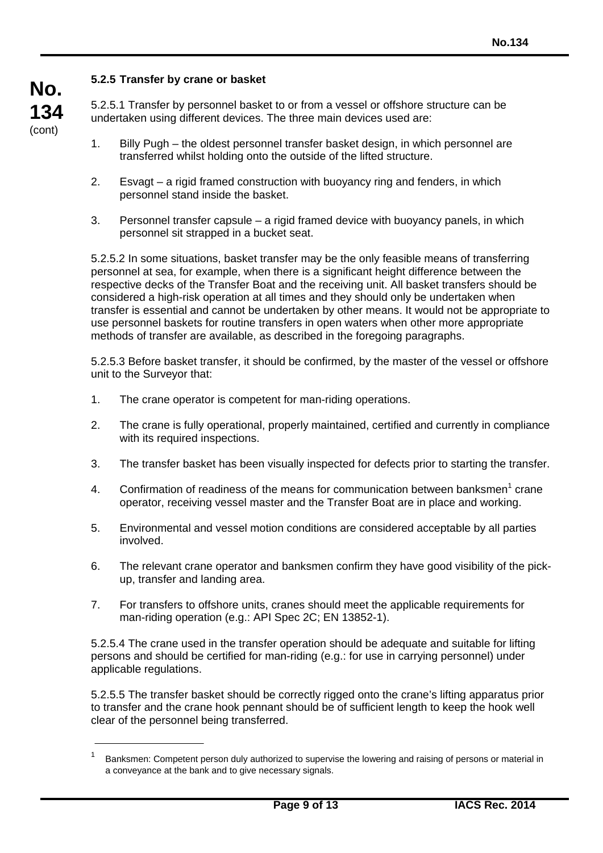## **5.2.5 Transfer by crane or basket**

5.2.5.1 Transfer by personnel basket to or from a vessel or offshore structure can be undertaken using different devices. The three main devices used are:

- 1. Billy Pugh the oldest personnel transfer basket design, in which personnel are transferred whilst holding onto the outside of the lifted structure.
- 2. Esvagt a rigid framed construction with buoyancy ring and fenders, in which personnel stand inside the basket.
- 3. Personnel transfer capsule a rigid framed device with buoyancy panels, in which personnel sit strapped in a bucket seat.

5.2.5.2 In some situations, basket transfer may be the only feasible means of transferring personnel at sea, for example, when there is a significant height difference between the respective decks of the Transfer Boat and the receiving unit. All basket transfers should be considered a high-risk operation at all times and they should only be undertaken when transfer is essential and cannot be undertaken by other means. It would not be appropriate to use personnel baskets for routine transfers in open waters when other more appropriate methods of transfer are available, as described in the foregoing paragraphs.

5.2.5.3 Before basket transfer, it should be confirmed, by the master of the vessel or offshore unit to the Surveyor that:

- 1. The crane operator is competent for man-riding operations.
- 2. The crane is fully operational, properly maintained, certified and currently in compliance with its required inspections.
- 3. The transfer basket has been visually inspected for defects prior to starting the transfer.
- 4. Confirmation of readiness of the means for communication between banksmen<sup>1</sup> crane operator, receiving vessel master and the Transfer Boat are in place and working.
- 5. Environmental and vessel motion conditions are considered acceptable by all parties involved.
- 6. The relevant crane operator and banksmen confirm they have good visibility of the pickup, transfer and landing area.
- 7. For transfers to offshore units, cranes should meet the applicable requirements for man-riding operation (e.g.: API Spec 2C; EN 13852-1).

5.2.5.4 The crane used in the transfer operation should be adequate and suitable for lifting persons and should be certified for man-riding (e.g.: for use in carrying personnel) under applicable regulations.

5.2.5.5 The transfer basket should be correctly rigged onto the crane's lifting apparatus prior to transfer and the crane hook pennant should be of sufficient length to keep the hook well clear of the personnel being transferred.

<sup>&</sup>lt;sup>1</sup> Banksmen: Competent person duly authorized to supervise the lowering and raising of persons or material in a conveyance at the bank and to give necessary signals.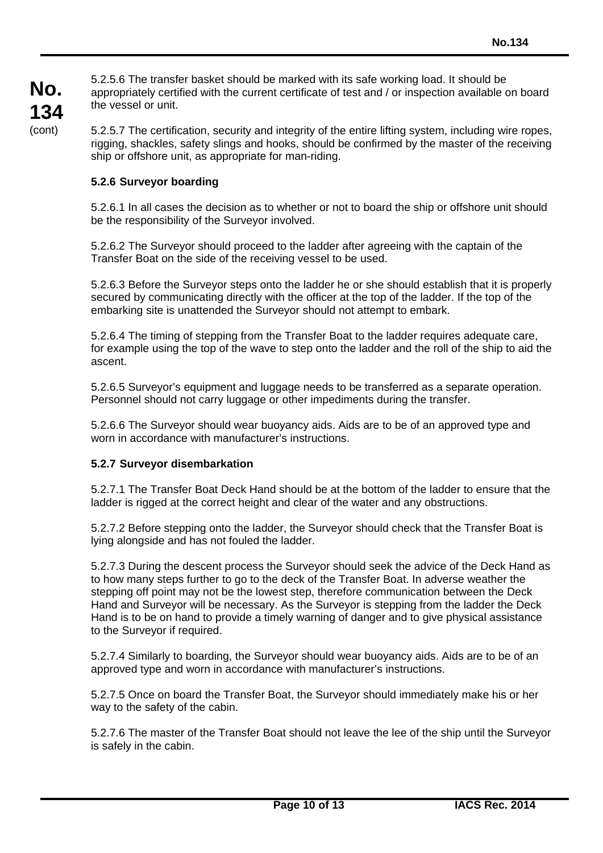5.2.5.6 The transfer basket should be marked with its safe working load. It should be appropriately certified with the current certificate of test and / or inspection available on board the vessel or unit.

5.2.5.7 The certification, security and integrity of the entire lifting system, including wire ropes, rigging, shackles, safety slings and hooks, should be confirmed by the master of the receiving ship or offshore unit, as appropriate for man-riding.

## **5.2.6 Surveyor boarding**

5.2.6.1 In all cases the decision as to whether or not to board the ship or offshore unit should be the responsibility of the Surveyor involved.

5.2.6.2 The Surveyor should proceed to the ladder after agreeing with the captain of the Transfer Boat on the side of the receiving vessel to be used.

5.2.6.3 Before the Surveyor steps onto the ladder he or she should establish that it is properly secured by communicating directly with the officer at the top of the ladder. If the top of the embarking site is unattended the Surveyor should not attempt to embark.

5.2.6.4 The timing of stepping from the Transfer Boat to the ladder requires adequate care, for example using the top of the wave to step onto the ladder and the roll of the ship to aid the ascent.

5.2.6.5 Surveyor's equipment and luggage needs to be transferred as a separate operation. Personnel should not carry luggage or other impediments during the transfer.

5.2.6.6 The Surveyor should wear buoyancy aids. Aids are to be of an approved type and worn in accordance with manufacturer's instructions.

#### **5.2.7 Surveyor disembarkation**

5.2.7.1 The Transfer Boat Deck Hand should be at the bottom of the ladder to ensure that the ladder is rigged at the correct height and clear of the water and any obstructions.

5.2.7.2 Before stepping onto the ladder, the Surveyor should check that the Transfer Boat is lying alongside and has not fouled the ladder.

5.2.7.3 During the descent process the Surveyor should seek the advice of the Deck Hand as to how many steps further to go to the deck of the Transfer Boat. In adverse weather the stepping off point may not be the lowest step, therefore communication between the Deck Hand and Surveyor will be necessary. As the Surveyor is stepping from the ladder the Deck Hand is to be on hand to provide a timely warning of danger and to give physical assistance to the Surveyor if required.

5.2.7.4 Similarly to boarding, the Surveyor should wear buoyancy aids. Aids are to be of an approved type and worn in accordance with manufacturer's instructions.

5.2.7.5 Once on board the Transfer Boat, the Surveyor should immediately make his or her way to the safety of the cabin.

5.2.7.6 The master of the Transfer Boat should not leave the lee of the ship until the Surveyor is safely in the cabin.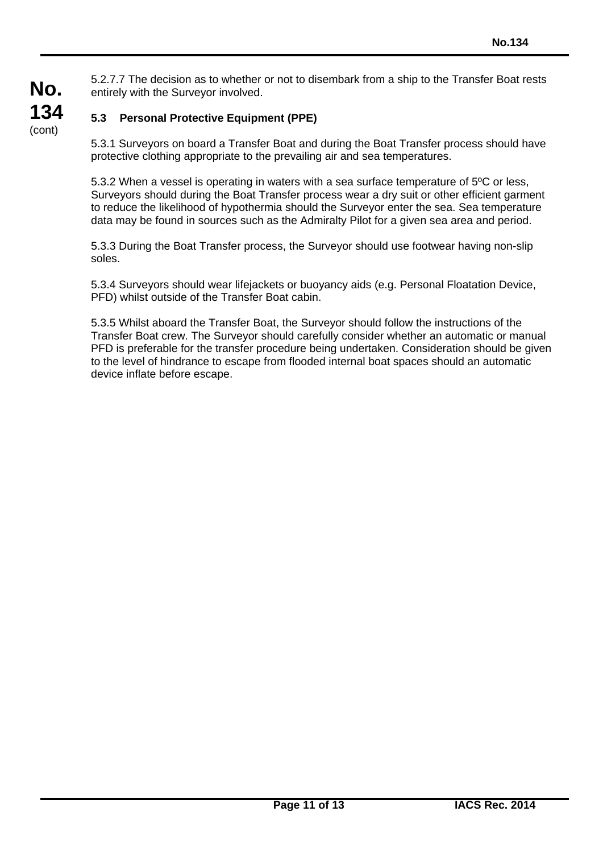5.2.7.7 The decision as to whether or not to disembark from a ship to the Transfer Boat rests entirely with the Surveyor involved.

# **5.3 Personal Protective Equipment (PPE)**

5.3.1 Surveyors on board a Transfer Boat and during the Boat Transfer process should have protective clothing appropriate to the prevailing air and sea temperatures.

5.3.2 When a vessel is operating in waters with a sea surface temperature of 5ºC or less, Surveyors should during the Boat Transfer process wear a dry suit or other efficient garment to reduce the likelihood of hypothermia should the Surveyor enter the sea. Sea temperature data may be found in sources such as the Admiralty Pilot for a given sea area and period.

5.3.3 During the Boat Transfer process, the Surveyor should use footwear having non-slip soles.

5.3.4 Surveyors should wear lifejackets or buoyancy aids (e.g. Personal Floatation Device, PFD) whilst outside of the Transfer Boat cabin.

5.3.5 Whilst aboard the Transfer Boat, the Surveyor should follow the instructions of the Transfer Boat crew. The Surveyor should carefully consider whether an automatic or manual PFD is preferable for the transfer procedure being undertaken. Consideration should be given to the level of hindrance to escape from flooded internal boat spaces should an automatic device inflate before escape.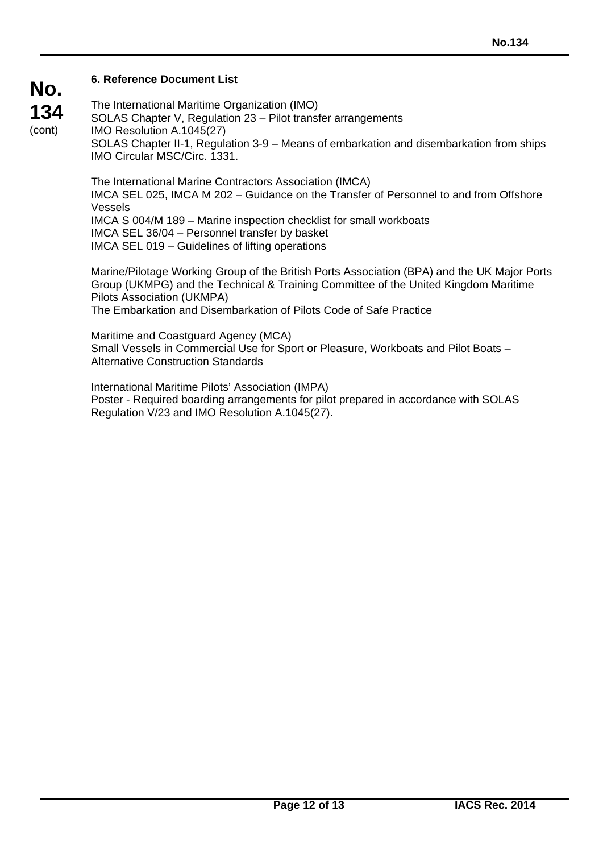# **6. Reference Document List**

**No. 134** (cont) The International Maritime Organization (IMO) SOLAS Chapter V, Regulation 23 – Pilot transfer arrangements IMO Resolution A.1045(27) SOLAS Chapter II-1, Regulation 3-9 – Means of embarkation and disembarkation from ships IMO Circular MSC/Circ. 1331.

The International Marine Contractors Association (IMCA) IMCA SEL 025, IMCA M 202 – Guidance on the Transfer of Personnel to and from Offshore Vessels IMCA S 004/M 189 – Marine inspection checklist for small workboats IMCA SEL 36/04 – Personnel transfer by basket IMCA SEL 019 – Guidelines of lifting operations

Marine/Pilotage Working Group of the British Ports Association (BPA) and the UK Major Ports Group (UKMPG) and the Technical & Training Committee of the United Kingdom Maritime Pilots Association (UKMPA)

The Embarkation and Disembarkation of Pilots Code of Safe Practice

Maritime and Coastguard Agency (MCA) Small Vessels in Commercial Use for Sport or Pleasure, Workboats and Pilot Boats – Alternative Construction Standards

International Maritime Pilots' Association (IMPA) Poster - Required boarding arrangements for pilot prepared in accordance with SOLAS Regulation V/23 and IMO Resolution A.1045(27).